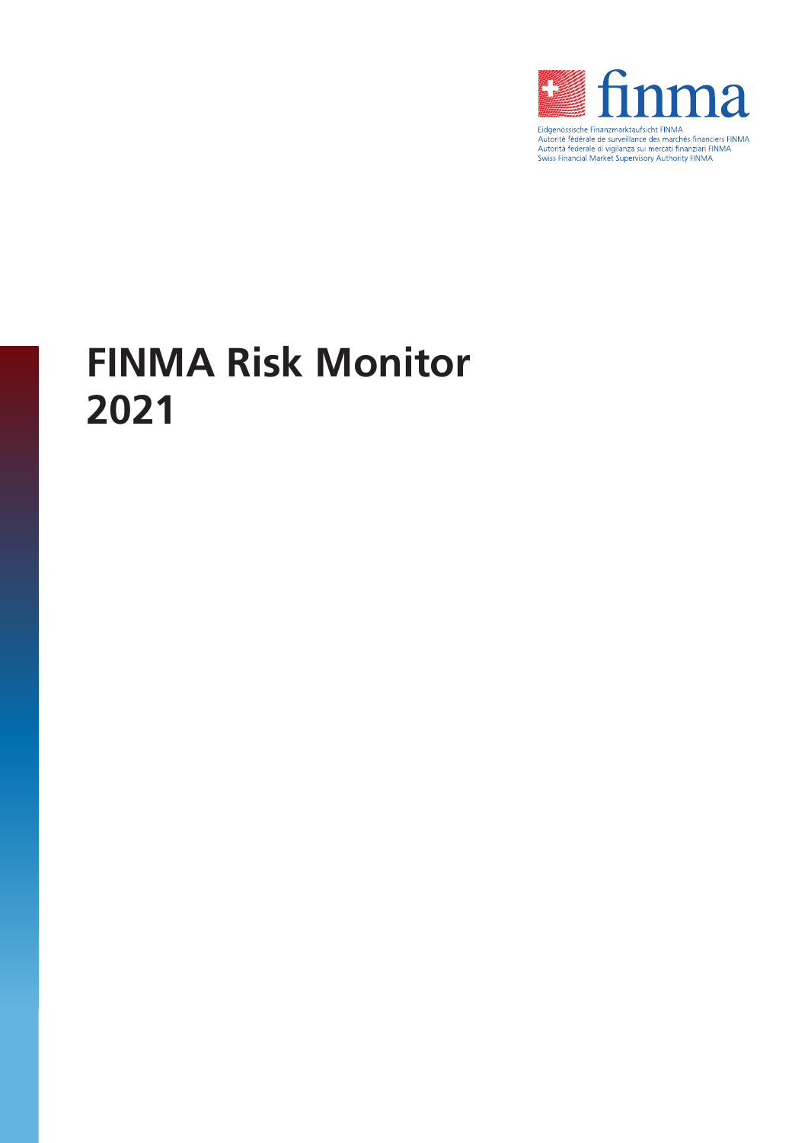

Eugenosissiche Finanzmarkaturskritt Finivine<br>Autorité fédérale de surveillance des marchés financiers FINMA<br>Autorità federale di vigilanza sui mercati finanziari FINMA<br>Swiss Financial Market Supervisory Authority FINMA

# **FINMA Risk Monitor 2021**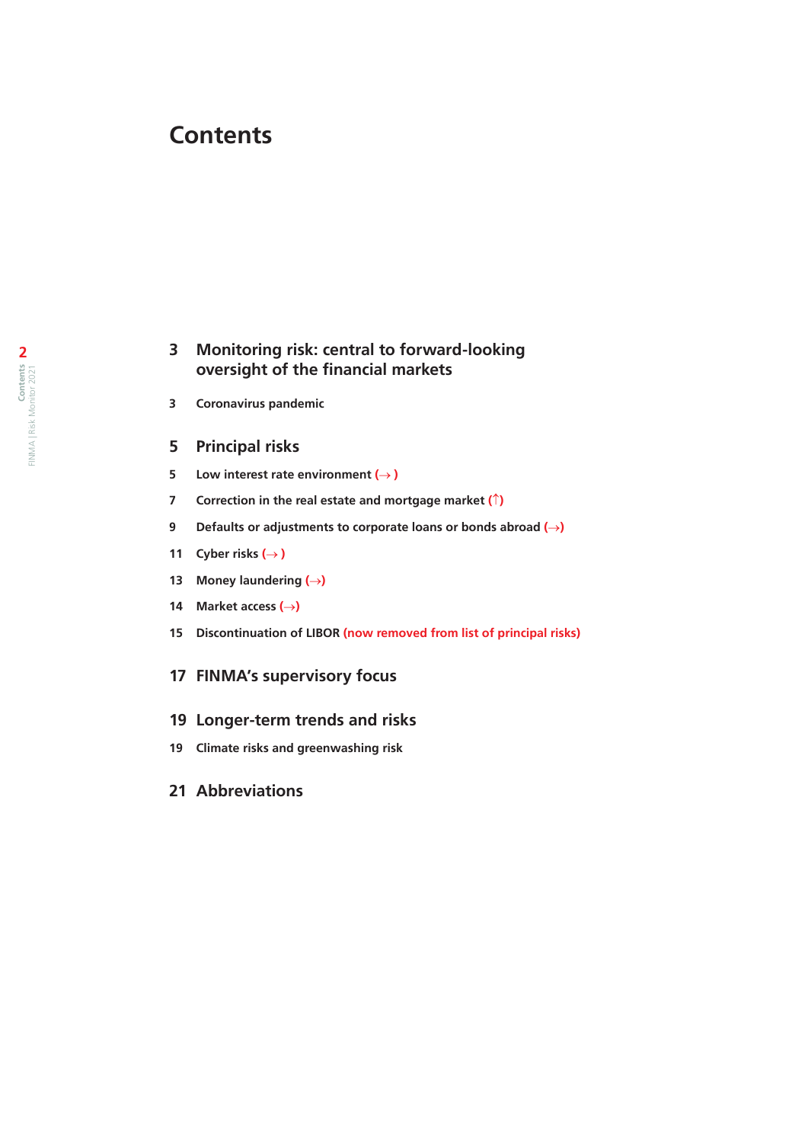# **Contents**

# **[Monitoring risk: central to forward-looking](#page-2-0)  [oversight of the financial markets](#page-2-0)**

**[Coronavirus pandemic](#page-2-0)**

### **[Principal risks](#page-4-0)**

- **5 [Low interest rate environment](#page-4-0)**  $(\rightarrow)$
- **[Correction in the real estate and mortgage market](#page-6-0) (**↑**)**
- **[Defaults or adjustments to corporate loans or bonds abroad](#page-8-0) (**→**)**
- **11 [Cyber risks](#page-10-0)**  $(\rightarrow)$
- **[Money laundering \(](#page-12-0)**→**)**
- **[Market access \(](#page-13-0)**→**)**
- **Discontinuation of LIBOR [\(now removed from list of principal risks\)](#page-14-0)**

## **[FINMA's supervisory focus](#page-16-0)**

#### **[Longer-term trends and risks](#page-18-0)**

- **[Climate risks and greenwashing risk](#page-18-0)**
- **[Abbreviations](#page-20-0)**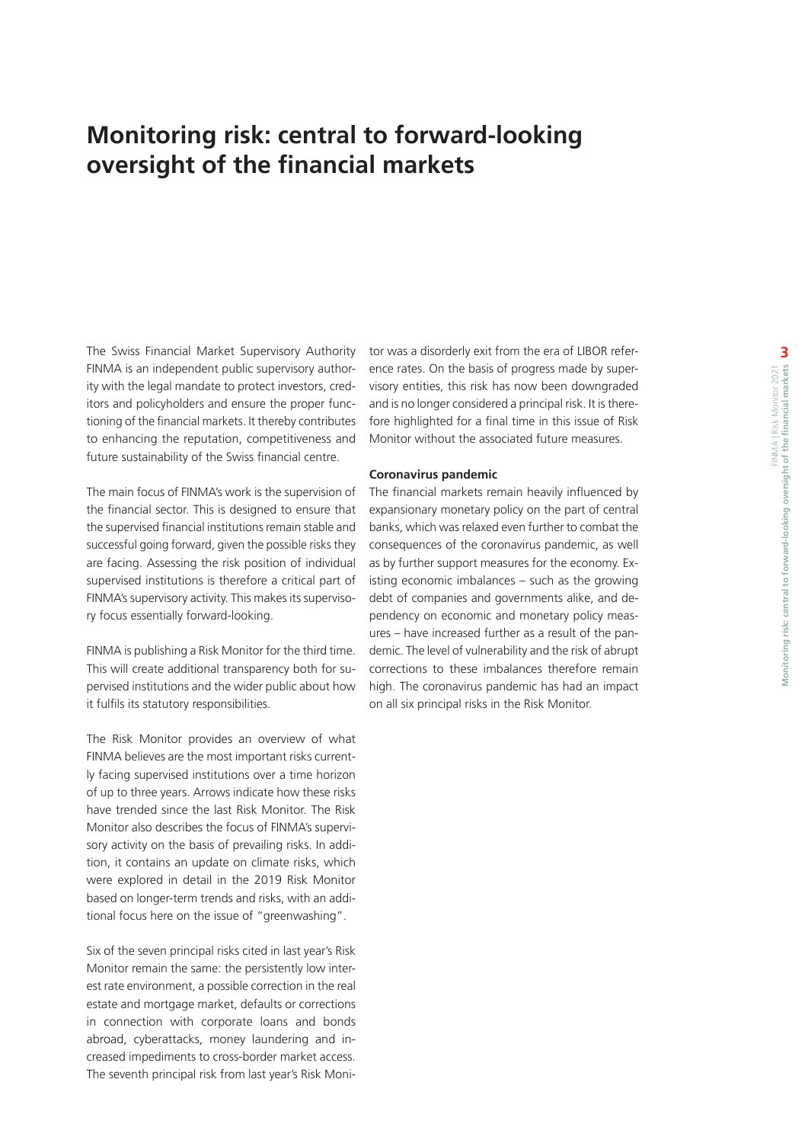# <span id="page-2-0"></span>**Monitoring risk: central to forward-looking oversight of the financial markets**

The Swiss Financial Market Supervisory Authority FINMA is an independent public supervisory authority with the legal mandate to protect investors, creditors and policyholders and ensure the proper functioning of the financial markets. It thereby contributes to enhancing the reputation, competitiveness and future sustainability of the Swiss financial centre.

The main focus of FINMA's work is the supervision of the financial sector. This is designed to ensure that the supervised financial institutions remain stable and successful going forward, given the possible risks they are facing. Assessing the risk position of individual supervised institutions is therefore a critical part of FINMA's supervisory activity. This makes its supervisory focus essentially forward-looking.

FINMA is publishing a Risk Monitor for the third time. This will create additional transparency both for supervised institutions and the wider public about how it fulfils its statutory responsibilities.

The Risk Monitor provides an overview of what FINMA believes are the most important risks currently facing supervised institutions over a time horizon of up to three years. Arrows indicate how these risks have trended since the last Risk Monitor. The Risk Monitor also describes the focus of FINMA's supervisory activity on the basis of prevailing risks. In addition, it contains an update on climate risks, which were explored in detail in the 2019 Risk Monitor based on longer-term trends and risks, with an additional focus here on the issue of "greenwashing".

Six of the seven principal risks cited in last year's Risk Monitor remain the same: the persistently low interest rate environment, a possible correction in the real estate and mortgage market, defaults or corrections in connection with corporate loans and bonds abroad, cyberattacks, money laundering and increased impediments to cross-border market access. The seventh principal risk from last year's Risk Monitor was a disorderly exit from the era of LIBOR reference rates. On the basis of progress made by supervisory entities, this risk has now been downgraded and is no longer considered a principal risk. It is therefore highlighted for a final time in this issue of Risk Monitor without the associated future measures.

#### **Coronavirus pandemic**

The financial markets remain heavily influenced by expansionary monetary policy on the part of central banks, which was relaxed even further to combat the consequences of the coronavirus pandemic, as well as by further support measures for the economy. Existing economic imbalances – such as the growing debt of companies and governments alike, and dependency on economic and monetary policy measures – have increased further as a result of the pandemic. The level of vulnerability and the risk of abrupt corrections to these imbalances therefore remain high. The coronavirus pandemic has had an impact on all six principal risks in the Risk Monitor.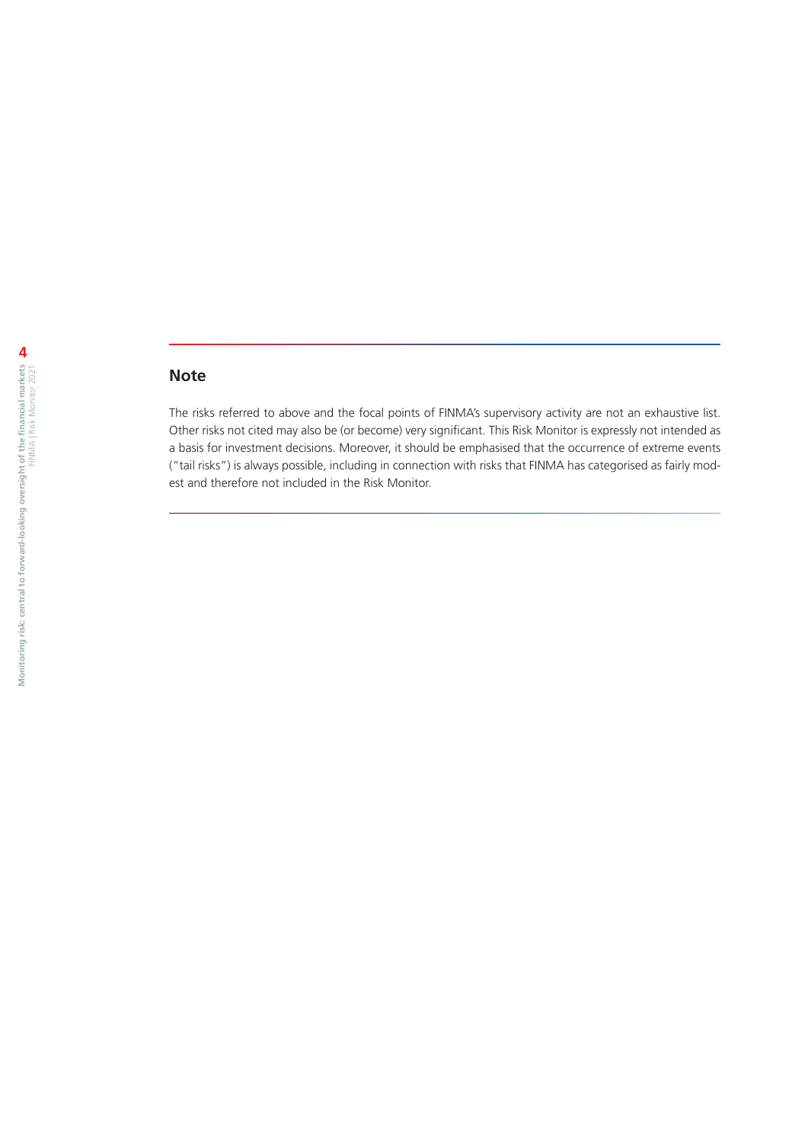# **Note**

The risks referred to above and the focal points of FINMA's supervisory activity are not an exhaustive list. Other risks not cited may also be (or become) very significant. This Risk Monitor is expressly not intended as a basis for investment decisions. Moreover, it should be emphasised that the occurrence of extreme events ("tail risks") is always possible, including in connection with risks that FINMA has categorised as fairly modest and therefore not included in the Risk Monitor.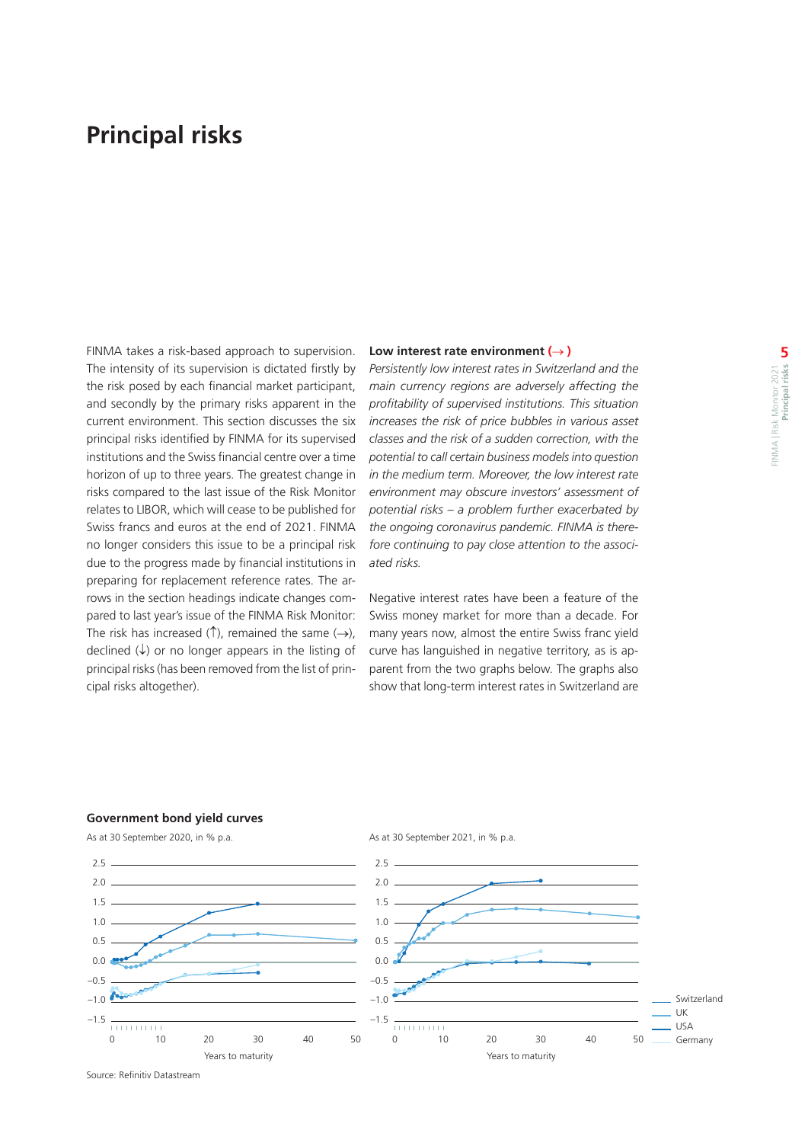# <span id="page-4-0"></span>**Principal risks**

FINMA takes a risk-based approach to supervision. The intensity of its supervision is dictated firstly by the risk posed by each financial market participant, and secondly by the primary risks apparent in the current environment. This section discusses the six principal risks identified by FINMA for its supervised institutions and the Swiss financial centre over a time horizon of up to three years. The greatest change in risks compared to the last issue of the Risk Monitor relates to LIBOR, which will cease to be published for Swiss francs and euros at the end of 2021. FINMA no longer considers this issue to be a principal risk due to the progress made by financial institutions in preparing for replacement reference rates. The arrows in the section headings indicate changes compared to last year's issue of the FINMA Risk Monitor: The risk has increased (↑), remained the same  $(\rightarrow)$ . declined  $(\downarrow)$  or no longer appears in the listing of principal risks (has been removed from the list of principal risks altogether).

#### **Low interest rate environment (**→ **)**

*Persistently low interest rates in Switzerland and the main currency regions are adversely affecting the profitability of supervised institutions. This situation increases the risk of price bubbles in various asset classes and the risk of a sudden correction, with the potential to call certain business models into question in the medium term. Moreover, the low interest rate environment may obscure investors' assessment of potential risks – a problem further exacerbated by the ongoing coronavirus pandemic. FINMA is therefore continuing to pay close attention to the associated risks.*

Negative interest rates have been a feature of the Swiss money market for more than a decade. For many years now, almost the entire Swiss franc yield curve has languished in negative territory, as is apparent from the two graphs below. The graphs also show that long-term interest rates in Switzerland are

#### **Government bond yield curves**



As at 30 September 2020, in % p.a.

Source: Refinitiv Datastream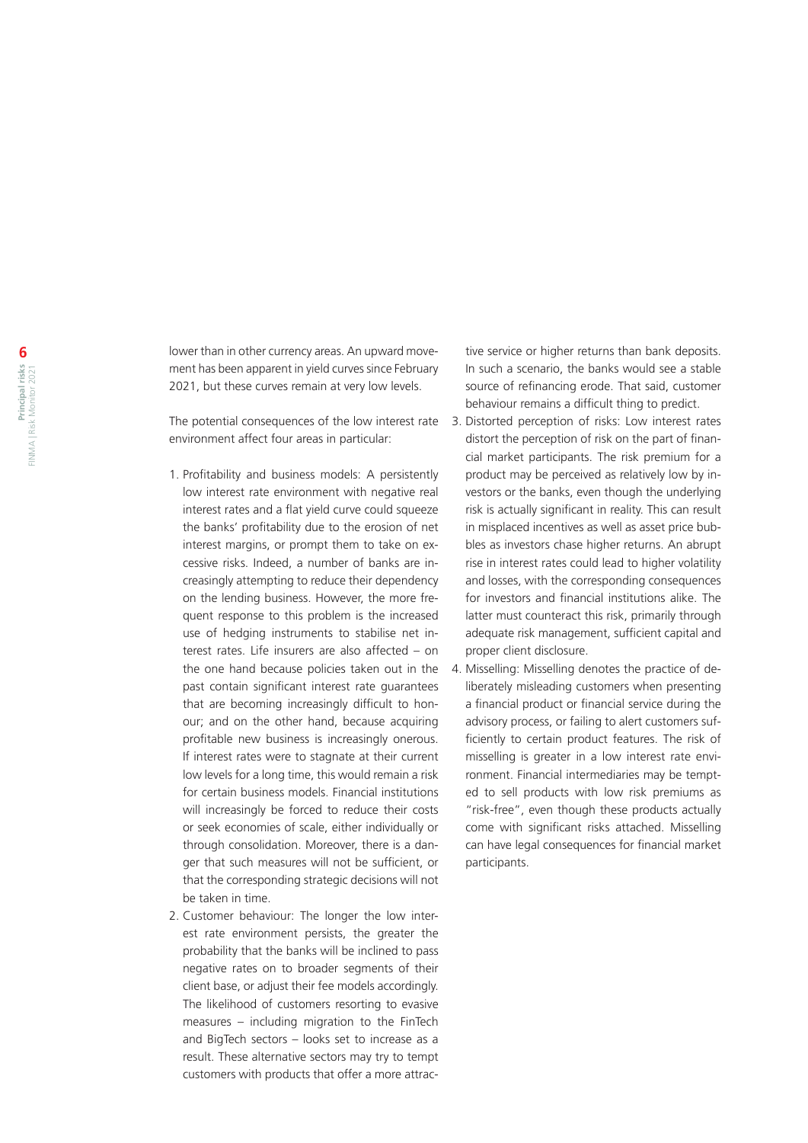lower than in other currency areas. An upward movement has been apparent in yield curves since February 2021, but these curves remain at very low levels.

The potential consequences of the low interest rate 3. Distorted perception of risks: Low interest rates environment affect four areas in particular:

- 1. Profitability and business models: A persistently low interest rate environment with negative real interest rates and a flat yield curve could squeeze the banks' profitability due to the erosion of net interest margins, or prompt them to take on excessive risks. Indeed, a number of banks are increasingly attempting to reduce their dependency on the lending business. However, the more frequent response to this problem is the increased use of hedging instruments to stabilise net interest rates. Life insurers are also affected - on the one hand because policies taken out in the past contain significant interest rate guarantees that are becoming increasingly difficult to honour; and on the other hand, because acquiring profitable new business is increasingly onerous. If interest rates were to stagnate at their current low levels for a long time, this would remain a risk for certain business models. Financial institutions will increasingly be forced to reduce their costs or seek economies of scale, either individually or through consolidation. Moreover, there is a danger that such measures will not be sufficient, or that the corresponding strategic decisions will not be taken in time.
- 2. Customer behaviour: The longer the low interest rate environment persists, the greater the probability that the banks will be inclined to pass negative rates on to broader segments of their client base, or adjust their fee models accordingly. The likelihood of customers resorting to evasive measures – including migration to the FinTech and BigTech sectors – looks set to increase as a result. These alternative sectors may try to tempt customers with products that offer a more attrac-

tive service or higher returns than bank deposits. In such a scenario, the banks would see a stable source of refinancing erode. That said, customer behaviour remains a difficult thing to predict.

- distort the perception of risk on the part of financial market participants. The risk premium for a product may be perceived as relatively low by investors or the banks, even though the underlying risk is actually significant in reality. This can result in misplaced incentives as well as asset price bubbles as investors chase higher returns. An abrupt rise in interest rates could lead to higher volatility and losses, with the corresponding consequences for investors and financial institutions alike. The latter must counteract this risk, primarily through adequate risk management, sufficient capital and proper client disclosure.
- 4. Misselling: Misselling denotes the practice of deliberately misleading customers when presenting a financial product or financial service during the advisory process, or failing to alert customers sufficiently to certain product features. The risk of misselling is greater in a low interest rate environment. Financial intermediaries may be tempted to sell products with low risk premiums as "risk-free", even though these products actually come with significant risks attached. Misselling can have legal consequences for financial market participants.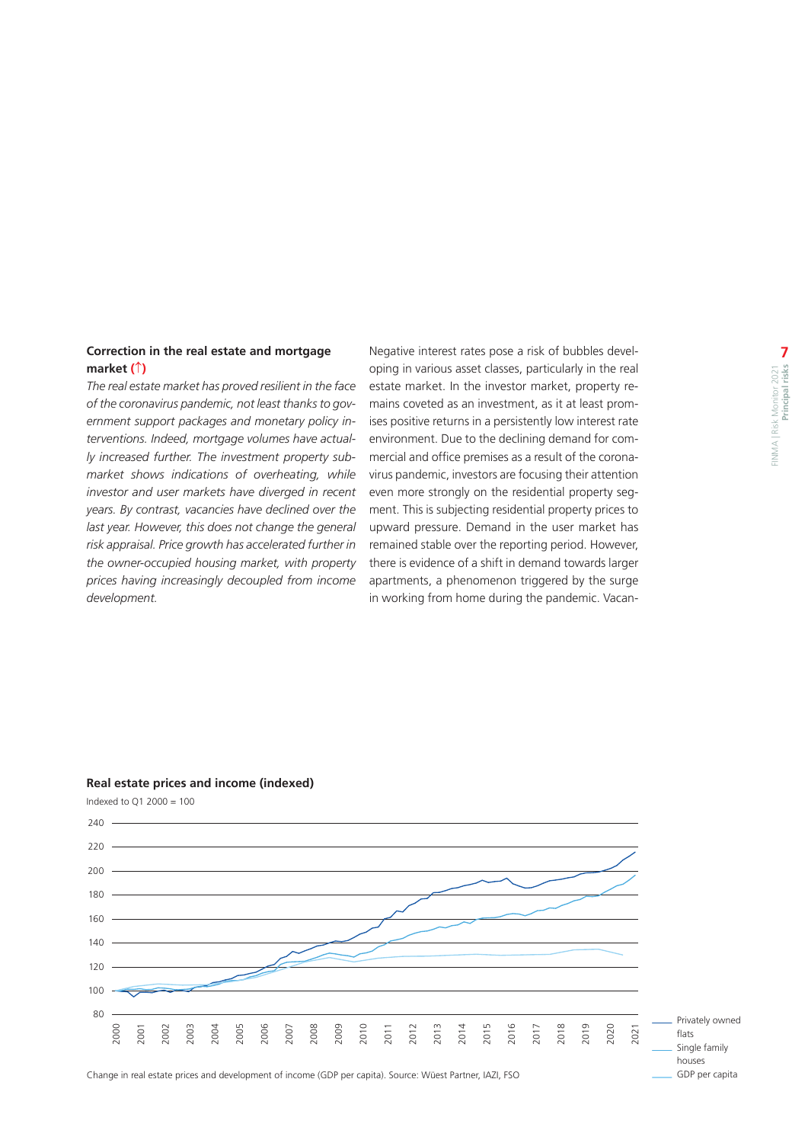### <span id="page-6-0"></span>**Correction in the real estate and mortgage market (**↑**)**

*The real estate market has proved resilient in the face of the coronavirus pandemic, not least thanks to government support packages and monetary policy interventions. Indeed, mortgage volumes have actually increased further. The investment property submarket shows indications of overheating, while investor and user markets have diverged in recent years. By contrast, vacancies have declined over the last year. However, this does not change the general risk appraisal. Price growth has accelerated further in the owner-occupied housing market, with property prices having increasingly decoupled from income development.*

Negative interest rates pose a risk of bubbles developing in various asset classes, particularly in the real estate market. In the investor market, property remains coveted as an investment, as it at least promises positive returns in a persistently low interest rate environment. Due to the declining demand for commercial and office premises as a result of the coronavirus pandemic, investors are focusing their attention even more strongly on the residential property segment. This is subjecting residential property prices to upward pressure. Demand in the user market has remained stable over the reporting period. However, there is evidence of a shift in demand towards larger apartments, a phenomenon triggered by the surge in working from home during the pandemic. Vacan-

#### **Real estate prices and income (indexed)**

Indexed to Q1 2000 = 100



 Privately owned Single family houses GDP per capita

Change in real estate prices and development of income (GDP per capita). Source: Wüest Partner, IAZI, FSO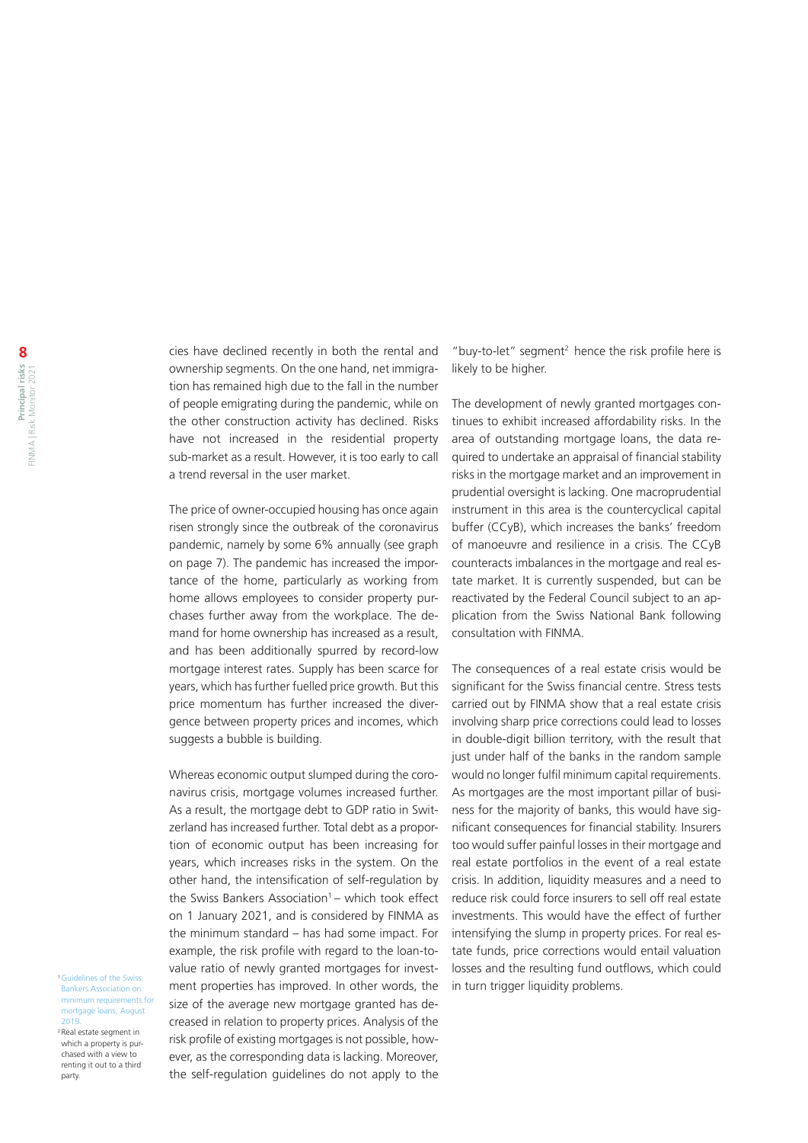cies have declined recently in both the rental and ownership segments. On the one hand, net immigration has remained high due to the fall in the number of people emigrating during the pandemic, while on the other construction activity has declined. Risks have not increased in the residential property sub-market as a result. However, it is too early to call a trend reversal in the user market.

The price of owner-occupied housing has once again risen strongly since the outbreak of the coronavirus pandemic, namely by some 6% annually (see graph on page 7). The pandemic has increased the importance of the home, particularly as working from home allows employees to consider property purchases further away from the workplace. The demand for home ownership has increased as a result, and has been additionally spurred by record-low mortgage interest rates. Supply has been scarce for years, which has further fuelled price growth. But this price momentum has further increased the divergence between property prices and incomes, which suggests a bubble is building.

Whereas economic output slumped during the coronavirus crisis, mortgage volumes increased further. As a result, the mortgage debt to GDP ratio in Switzerland has increased further. Total debt as a proportion of economic output has been increasing for years, which increases risks in the system. On the other hand, the intensification of self-regulation by the Swiss Bankers Association<sup>1</sup> – which took effect on 1 January 2021, and is considered by FINMA as the minimum standard – has had some impact. For example, the risk profile with regard to the loan-tovalue ratio of newly granted mortgages for invest-1Guidelines of the Swiss<br>Bankers Association on **ment properties has improved. In other words, the** in turn trigger liquidity problems. size of the average new mortgage granted has decreased in relation to property prices. Analysis of the risk profile of existing mortgages is not possible, however, as the corresponding data is lacking. Moreover, the self-regulation guidelines do not apply to the

"buy-to-let" segment<sup>2</sup> hence the risk profile here is likely to be higher.

The development of newly granted mortgages continues to exhibit increased affordability risks. In the area of outstanding mortgage loans, the data required to undertake an appraisal of financial stability risks in the mortgage market and an improvement in prudential oversight is lacking. One macroprudential instrument in this area is the countercyclical capital buffer (CCyB), which increases the banks' freedom of manoeuvre and resilience in a crisis. The CCyB counteracts imbalances in the mortgage and real estate market. It is currently suspended, but can be reactivated by the Federal Council subject to an application from the Swiss National Bank following consultation with FINMA.

The consequences of a real estate crisis would be significant for the Swiss financial centre. Stress tests carried out by FINMA show that a real estate crisis involving sharp price corrections could lead to losses in double-digit billion territory, with the result that just under half of the banks in the random sample would no longer fulfil minimum capital requirements. As mortgages are the most important pillar of business for the majority of banks, this would have significant consequences for financial stability. Insurers too would suffer painful losses in their mortgage and real estate portfolios in the event of a real estate crisis. In addition, liquidity measures and a need to reduce risk could force insurers to sell off real estate investments. This would have the effect of further intensifying the slump in property prices. For real estate funds, price corrections would entail valuation losses and the resulting fund outflows, which could

<sup>1</sup> Guidelines of the Swiss [Bankers Association on](https://www.swissbanking.ch/en/topics/regulation-and-compliance/mortgage-market-regulation)  [minimum requirements for](https://www.swissbanking.ch/en/topics/regulation-and-compliance/mortgage-market-regulation)  [mortgage loans, August](https://www.swissbanking.ch/en/topics/regulation-and-compliance/mortgage-market-regulation)  [2019.](https://www.swissbanking.ch/en/topics/regulation-and-compliance/mortgage-market-regulation)

2 Real estate segment in which a property is purchased with a view to renting it out to a third party.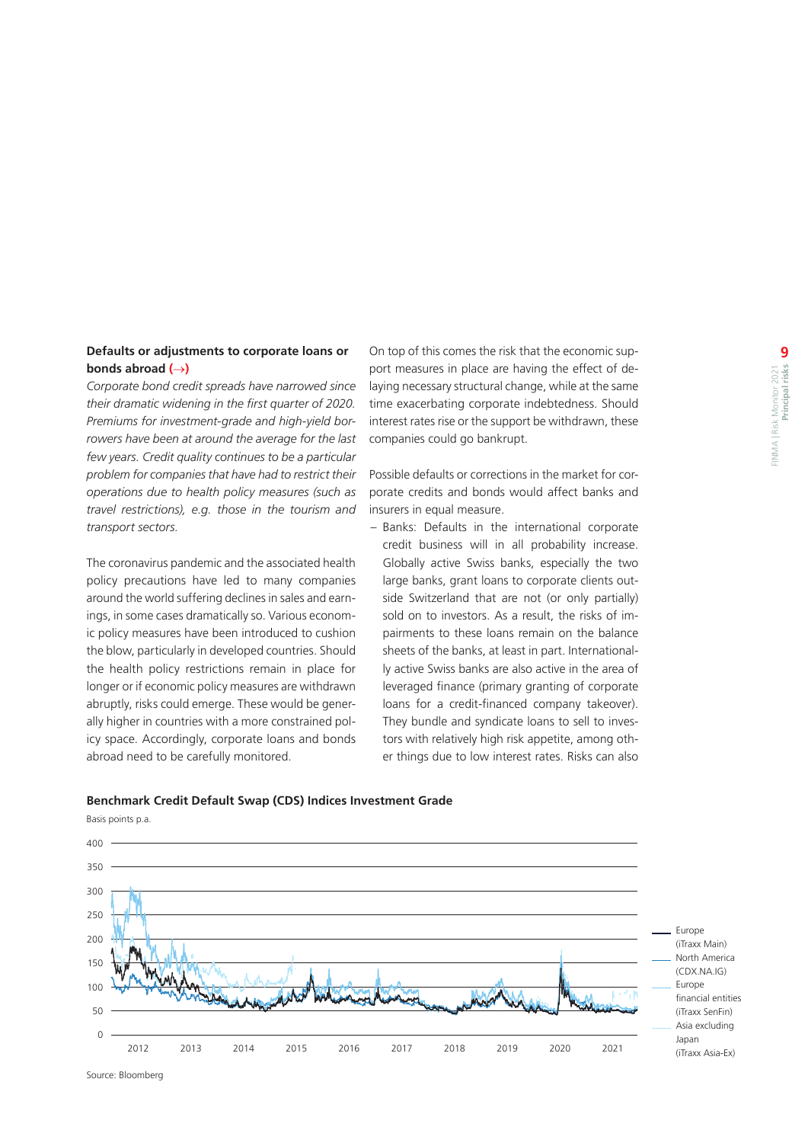### <span id="page-8-0"></span>**Defaults or adjustments to corporate loans or bonds abroad (**→**)**

*Corporate bond credit spreads have narrowed since their dramatic widening in the first quarter of 2020. Premiums for investment-grade and high-yield borrowers have been at around the average for the last few years. Credit quality continues to be a particular problem for companies that have had to restrict their operations due to health policy measures (such as travel restrictions), e.g. those in the tourism and transport sectors.*

The coronavirus pandemic and the associated health policy precautions have led to many companies around the world suffering declines in sales and earnings, in some cases dramatically so. Various economic policy measures have been introduced to cushion the blow, particularly in developed countries. Should the health policy restrictions remain in place for longer or if economic policy measures are withdrawn abruptly, risks could emerge. These would be generally higher in countries with a more constrained policy space. Accordingly, corporate loans and bonds abroad need to be carefully monitored.

On top of this comes the risk that the economic support measures in place are having the effect of delaying necessary structural change, while at the same time exacerbating corporate indebtedness. Should interest rates rise or the support be withdrawn, these companies could go bankrupt.

Possible defaults or corrections in the market for corporate credits and bonds would affect banks and insurers in equal measure.

– Banks: Defaults in the international corporate credit business will in all probability increase. Globally active Swiss banks, especially the two large banks, grant loans to corporate clients outside Switzerland that are not (or only partially) sold on to investors. As a result, the risks of impairments to these loans remain on the balance sheets of the banks, at least in part. Internationally active Swiss banks are also active in the area of leveraged finance (primary granting of corporate loans for a credit-financed company takeover). They bundle and syndicate loans to sell to investors with relatively high risk appetite, among other things due to low interest rates. Risks can also

#### **Benchmark Credit Default Swap (CDS) Indices Investment Grade**



Source: Bloomberg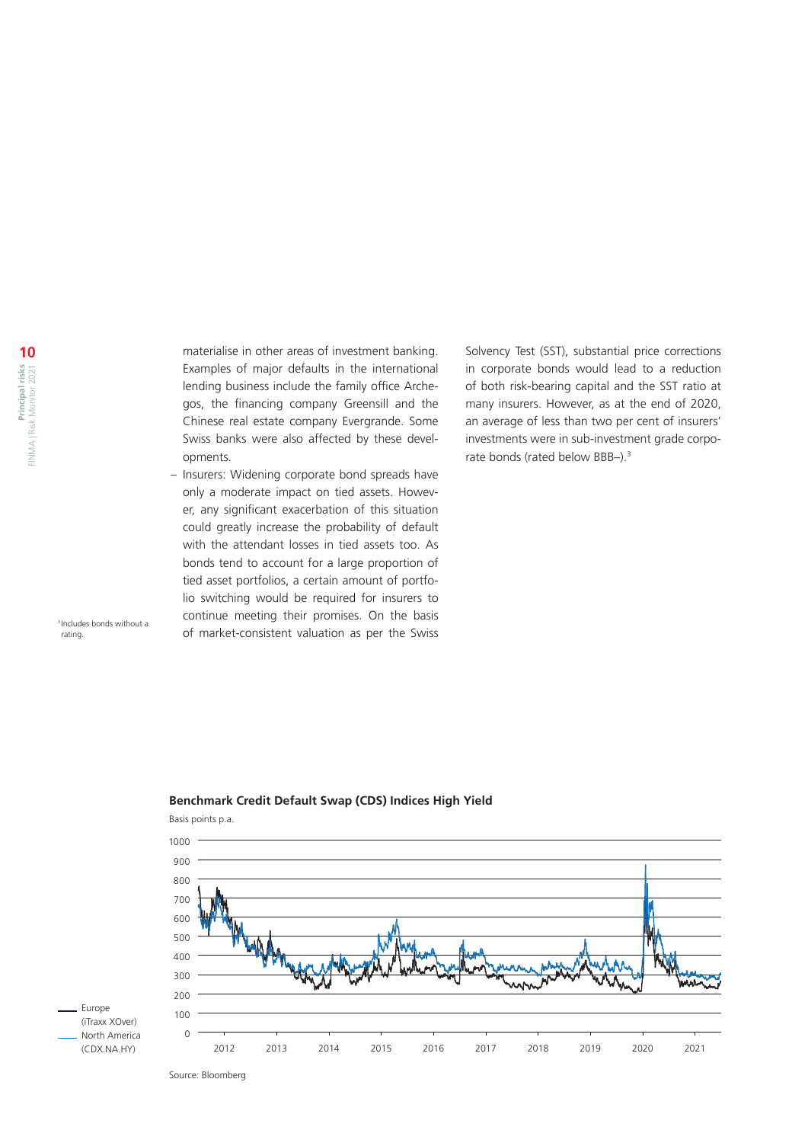materialise in other areas of investment banking. Examples of major defaults in the international lending business include the family office Archegos, the financing company Greensill and the Chinese real estate company Evergrande. Some Swiss banks were also affected by these developments.

– Insurers: Widening corporate bond spreads have only a moderate impact on tied assets. However, any significant exacerbation of this situation could greatly increase the probability of default with the attendant losses in tied assets too. As bonds tend to account for a large proportion of tied asset portfolios, a certain amount of portfolio switching would be required for insurers to continue meeting their promises. On the basis of market-consistent valuation as per the Swiss

Solvency Test (SST), substantial price corrections in corporate bonds would lead to a reduction of both risk-bearing capital and the SST ratio at many insurers. However, as at the end of 2020, an average of less than two per cent of insurers' investments were in sub-investment grade corporate bonds (rated below BBB-).<sup>3</sup>

3 Includes bonds without a rating.



### **Benchmark Credit Default Swap (CDS) Indices High Yield**

Basis points p.a.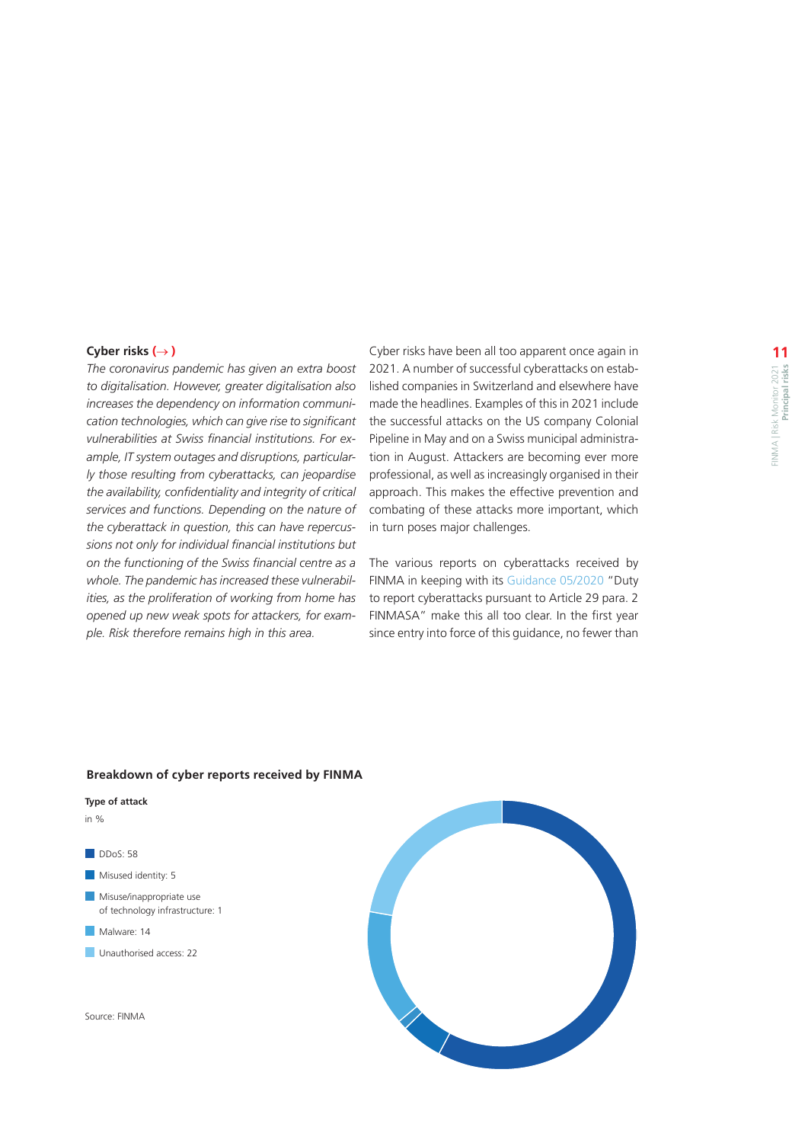#### <span id="page-10-0"></span>**Cyber risks (**→ **)**

*The coronavirus pandemic has given an extra boost to digitalisation. However, greater digitalisation also increases the dependency on information communication technologies, which can give rise to significant vulnerabilities at Swiss financial institutions. For example, IT system outages and disruptions, particularly those resulting from cyberattacks, can jeopardise the availability, confidentiality and integrity of critical services and functions. Depending on the nature of the cyberattack in question, this can have repercussions not only for individual financial institutions but on the functioning of the Swiss financial centre as a whole. The pandemic has increased these vulnerabilities, as the proliferation of working from home has opened up new weak spots for attackers, for example. Risk therefore remains high in this area.*

Cyber risks have been all too apparent once again in 2021. A number of successful cyberattacks on established companies in Switzerland and elsewhere have made the headlines. Examples of this in 2021 include the successful attacks on the US company Colonial Pipeline in May and on a Swiss municipal administration in August. Attackers are becoming ever more professional, as well as increasingly organised in their approach. This makes the effective prevention and combating of these attacks more important, which in turn poses major challenges.

The various reports on cyberattacks received by FINMA in keeping with its [Guidance 05/2020](https://www.finma.ch/en/documentation/finma-guidance/) "Duty to report cyberattacks pursuant to Article 29 para. 2 FINMASA" make this all too clear. In the first year since entry into force of this guidance, no fewer than

#### **Breakdown of cyber reports received by FINMA**

#### **Type of attack**  in %

DDoS: 58 Misused identity: 5 **Misuse/inappropriate use** of technology infrastructure: 1 Malware: 14 **Unauthorised access: 22** 

Source: FINMA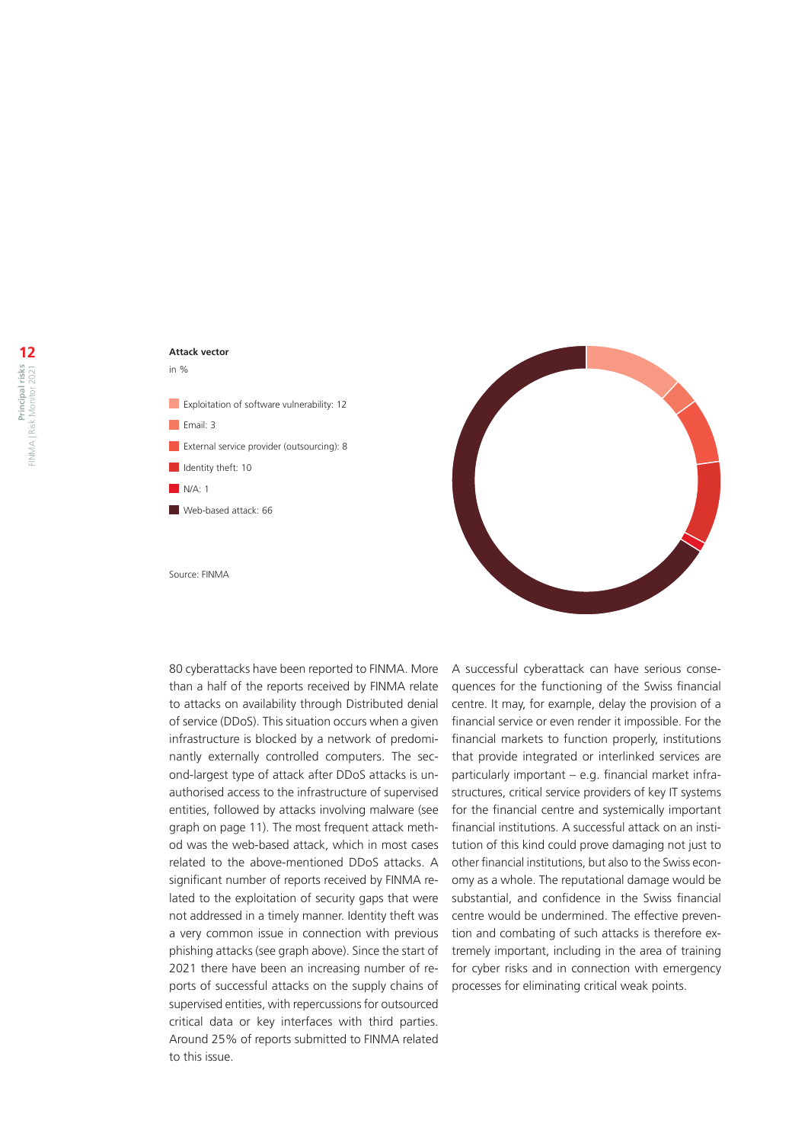# **Attack vector**  in % **Exploitation of software vulnerability: 12** Email: 3



Source: FINMA

80 cyberattacks have been reported to FINMA. More than a half of the reports received by FINMA relate to attacks on availability through Distributed denial of service (DDoS). This situation occurs when a given infrastructure is blocked by a network of predominantly externally controlled computers. The second-largest type of attack after DDoS attacks is unauthorised access to the infrastructure of supervised entities, followed by attacks involving malware (see graph on page 11). The most frequent attack method was the web-based attack, which in most cases related to the above-mentioned DDoS attacks. A significant number of reports received by FINMA related to the exploitation of security gaps that were not addressed in a timely manner. Identity theft was a very common issue in connection with previous phishing attacks (see graph above). Since the start of 2021 there have been an increasing number of reports of successful attacks on the supply chains of supervised entities, with repercussions for outsourced critical data or key interfaces with third parties. Around 25% of reports submitted to FINMA related to this issue.

A successful cyberattack can have serious consequences for the functioning of the Swiss financial centre. It may, for example, delay the provision of a financial service or even render it impossible. For the financial markets to function properly, institutions that provide integrated or interlinked services are particularly important – e.g. financial market infrastructures, critical service providers of key IT systems for the financial centre and systemically important financial institutions. A successful attack on an institution of this kind could prove damaging not just to other financial institutions, but also to the Swiss economy as a whole. The reputational damage would be substantial, and confidence in the Swiss financial centre would be undermined. The effective prevention and combating of such attacks is therefore extremely important, including in the area of training for cyber risks and in connection with emergency processes for eliminating critical weak points.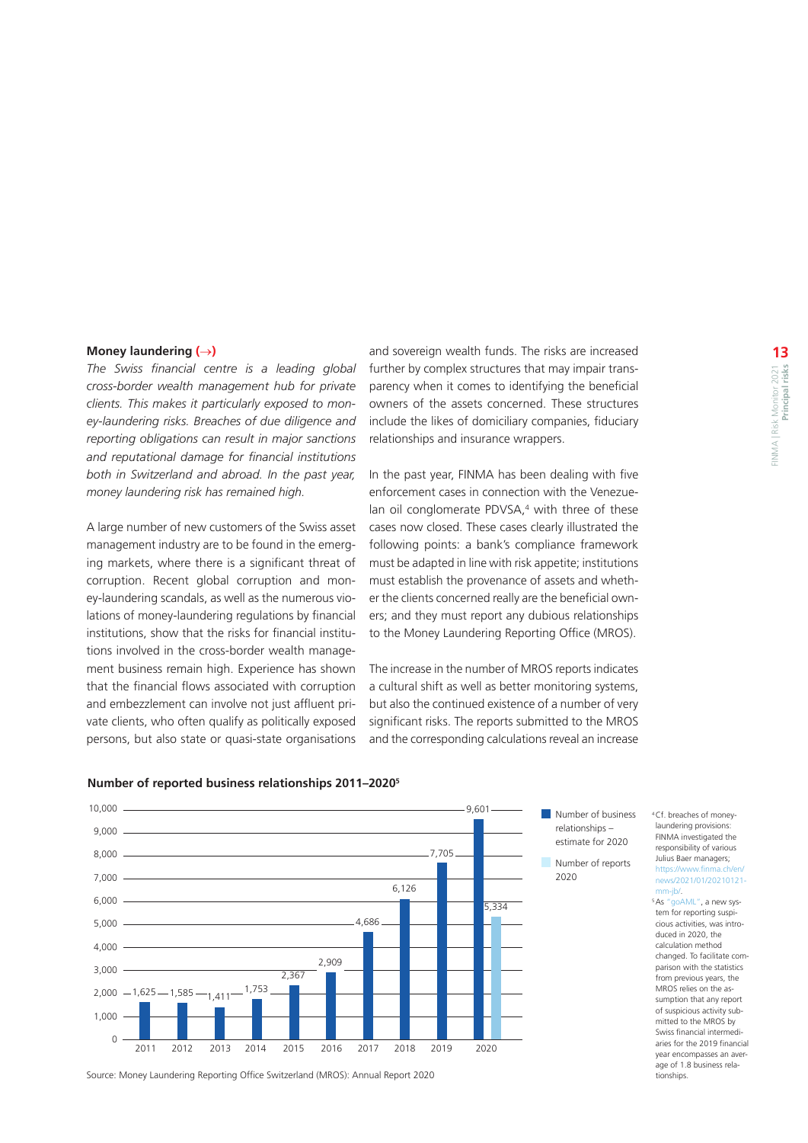#### <span id="page-12-0"></span>**Money laundering (**→**)**

*The Swiss financial centre is a leading global cross-border wealth management hub for private clients. This makes it particularly exposed to money-laundering risks. Breaches of due diligence and reporting obligations can result in major sanctions and reputational damage for financial institutions both in Switzerland and abroad. In the past year, money laundering risk has remained high.*

A large number of new customers of the Swiss asset management industry are to be found in the emerging markets, where there is a significant threat of corruption. Recent global corruption and money-laundering scandals, as well as the numerous violations of money-laundering regulations by financial institutions, show that the risks for financial institutions involved in the cross-border wealth management business remain high. Experience has shown that the financial flows associated with corruption and embezzlement can involve not just affluent private clients, who often qualify as politically exposed persons, but also state or quasi-state organisations

and sovereign wealth funds. The risks are increased further by complex structures that may impair transparency when it comes to identifying the beneficial owners of the assets concerned. These structures include the likes of domiciliary companies, fiduciary relationships and insurance wrappers.

In the past year, FINMA has been dealing with five enforcement cases in connection with the Venezuelan oil conglomerate PDVSA,<sup>4</sup> with three of these cases now closed. These cases clearly illustrated the following points: a bank's compliance framework must be adapted in line with risk appetite; institutions must establish the provenance of assets and whether the clients concerned really are the beneficial owners; and they must report any dubious relationships to the Money Laundering Reporting Office (MROS).

The increase in the number of MROS reports indicates a cultural shift as well as better monitoring systems, but also the continued existence of a number of very significant risks. The reports submitted to the MROS and the corresponding calculations reveal an increase



#### **Number of reported business relationships 2011–2020<sup>5</sup>**

Number of business relationships – estimate for 2020

Number of reports 2020

4   Cf. breaches of moneylaundering provisions: FINMA investigated the responsibility of various Julius Baer managers; https://www.finma.c [news/2021/01/20210121](https://www.finma.ch/en/news/2021/01/20210121-mm-jb/)  $m$ -ib/ 5 As ["goAML",](https://www.fedpol.admin.ch/fedpol/en/home/kriminalitaet/geldwaescherei/meldung.html) a new sys-

tem for reporting suspicious activities, was introduced in 2020, the calculation method changed. To facilitate comparison with the statistics from previous years, the MROS relies on the assumption that any report of suspicious activity submitted to the MROS by Swiss financial intermediaries for the 2019 financial year encompasses an average of 1.8 business relationships.

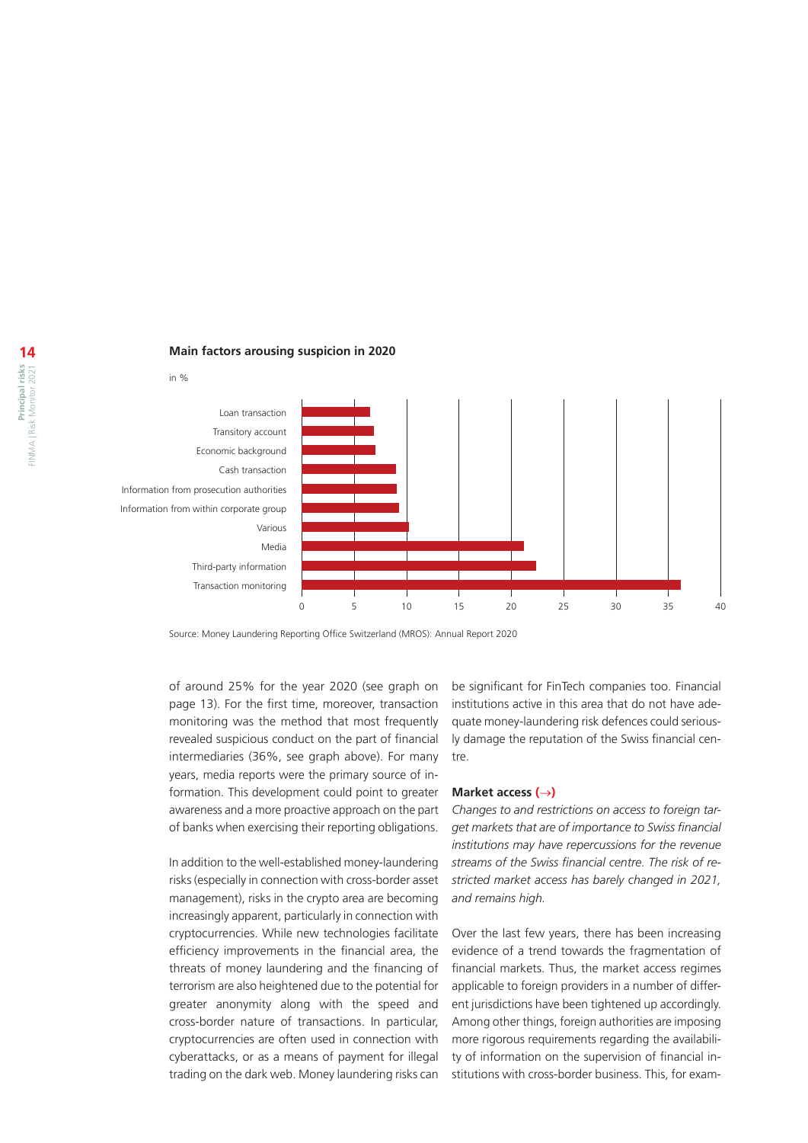#### <span id="page-13-0"></span>**Main factors arousing suspicion in 2020**



Source: Money Laundering Reporting Office Switzerland (MROS): Annual Report 2020

of around 25% for the year 2020 (see graph on page 13). For the first time, moreover, transaction monitoring was the method that most frequently revealed suspicious conduct on the part of financial intermediaries (36%, see graph above). For many years, media reports were the primary source of information. This development could point to greater awareness and a more proactive approach on the part of banks when exercising their reporting obligations.

In addition to the well-established money-laundering risks (especially in connection with cross-border asset management), risks in the crypto area are becoming increasingly apparent, particularly in connection with cryptocurrencies. While new technologies facilitate efficiency improvements in the financial area, the threats of money laundering and the financing of terrorism are also heightened due to the potential for greater anonymity along with the speed and cross-border nature of transactions. In particular, cryptocurrencies are often used in connection with cyberattacks, or as a means of payment for illegal trading on the dark web. Money laundering risks can

be significant for FinTech companies too. Financial institutions active in this area that do not have adequate money-laundering risk defences could seriously damage the reputation of the Swiss financial centre.

#### **Market access (**→**)**

*Changes to and restrictions on access to foreign target markets that are of importance to Swiss financial institutions may have repercussions for the revenue streams of the Swiss financial centre. The risk of restricted market access has barely changed in 2021, and remains high.*

Over the last few years, there has been increasing evidence of a trend towards the fragmentation of financial markets. Thus, the market access regimes applicable to foreign providers in a number of different jurisdictions have been tightened up accordingly. Among other things, foreign authorities are imposing more rigorous requirements regarding the availability of information on the supervision of financial institutions with cross-border business. This, for exam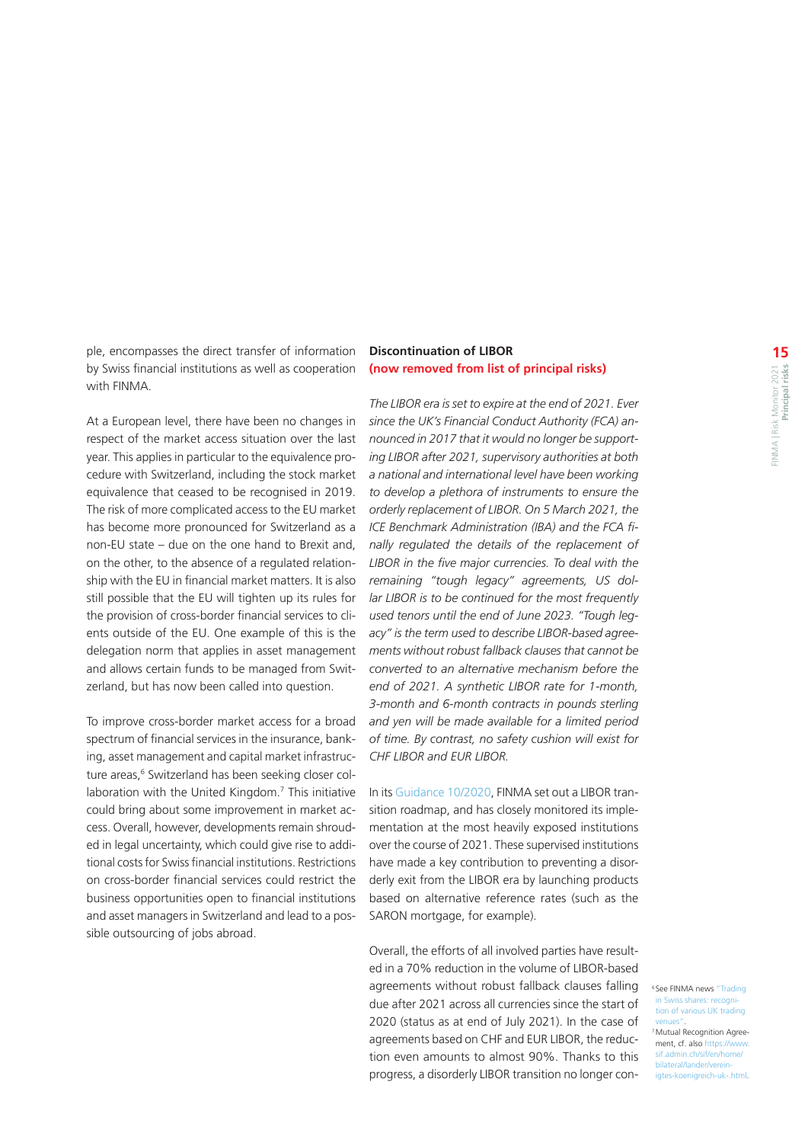<span id="page-14-0"></span>ple, encompasses the direct transfer of information by Swiss financial institutions as well as cooperation with FINMA.

At a European level, there have been no changes in respect of the market access situation over the last year. This applies in particular to the equivalence procedure with Switzerland, including the stock market equivalence that ceased to be recognised in 2019. The risk of more complicated access to the EU market has become more pronounced for Switzerland as a non-EU state – due on the one hand to Brexit and, on the other, to the absence of a regulated relationship with the EU in financial market matters. It is also still possible that the EU will tighten up its rules for the provision of cross-border financial services to clients outside of the EU. One example of this is the delegation norm that applies in asset management and allows certain funds to be managed from Switzerland, but has now been called into question.

To improve cross-border market access for a broad spectrum of financial services in the insurance, banking, asset management and capital market infrastructure areas,<sup>6</sup> Switzerland has been seeking closer collaboration with the United Kingdom.<sup>7</sup> This initiative could bring about some improvement in market access. Overall, however, developments remain shrouded in legal uncertainty, which could give rise to additional costs for Swiss financial institutions. Restrictions on cross-border financial services could restrict the business opportunities open to financial institutions and asset managers in Switzerland and lead to a possible outsourcing of jobs abroad.

### **Discontinuation of LIBOR (now removed from list of principal risks)**

*The LIBOR era is set to expire at the end of 2021. Ever since the UK's Financial Conduct Authority (FCA) announced in 2017 that it would no longer be supporting LIBOR after 2021, supervisory authorities at both a national and international level have been working to develop a plethora of instruments to ensure the orderly replacement of LIBOR. On 5 March 2021, the ICE Benchmark Administration (IBA) and the FCA finally regulated the details of the replacement of LIBOR in the five major currencies. To deal with the remaining "tough legacy" agreements, US dollar LIBOR is to be continued for the most frequently used tenors until the end of June 2023. "Tough legacy" is the term used to describe LIBOR-based agreements without robust fallback clauses that cannot be converted to an alternative mechanism before the end of 2021. A synthetic LIBOR rate for 1-month, 3-month and 6-month contracts in pounds sterling and yen will be made available for a limited period of time. By contrast, no safety cushion will exist for CHF LIBOR and EUR LIBOR.*

In its [Guidance 10/2020,](https://www.finma.ch/en/news/2020/12/20201204-am-libor/) FINMA set out a LIBOR transition roadmap, and has closely monitored its implementation at the most heavily exposed institutions over the course of 2021. These supervised institutions have made a key contribution to preventing a disorderly exit from the LIBOR era by launching products based on alternative reference rates (such as the SARON mortgage, for example).

Overall, the efforts of all involved parties have resulted in a 70% reduction in the volume of LIBOR-based agreements without robust fallback clauses falling due after 2021 across all currencies since the start of 2020 (status as at end of July 2021). In the case of agreements based on CHF and EUR LIBOR, the reduction even amounts to almost 90%. Thanks to this progress, a disorderly LIBOR transition no longer con-

6 See FINMA news ["Trading](https://www.finma.ch/en/news/2021/02/20210203-meldung-uk-handelsplaetze/)  in Swiss shares: re [tion of various UK trading](https://www.finma.ch/en/news/2021/02/20210203-meldung-uk-handelsplaetze/)  [venues"](https://www.finma.ch/en/news/2021/02/20210203-meldung-uk-handelsplaetze/).<br><sup>7</sup> Mutual Recognition Agreement, cf. also https://ww [sif.admin.ch/sif/en/home/](https://www.sif.admin.ch/sif/en/home/bilateral/lander/vereinigtes-koenigreich-uk-.html) [bilateral/lander/verein](https://www.sif.admin.ch/sif/en/home/bilateral/lander/vereinigtes-koenigreich-uk-.html)[igtes-koenigreich-uk-.html](https://www.sif.admin.ch/sif/en/home/bilateral/lander/vereinigtes-koenigreich-uk-.html).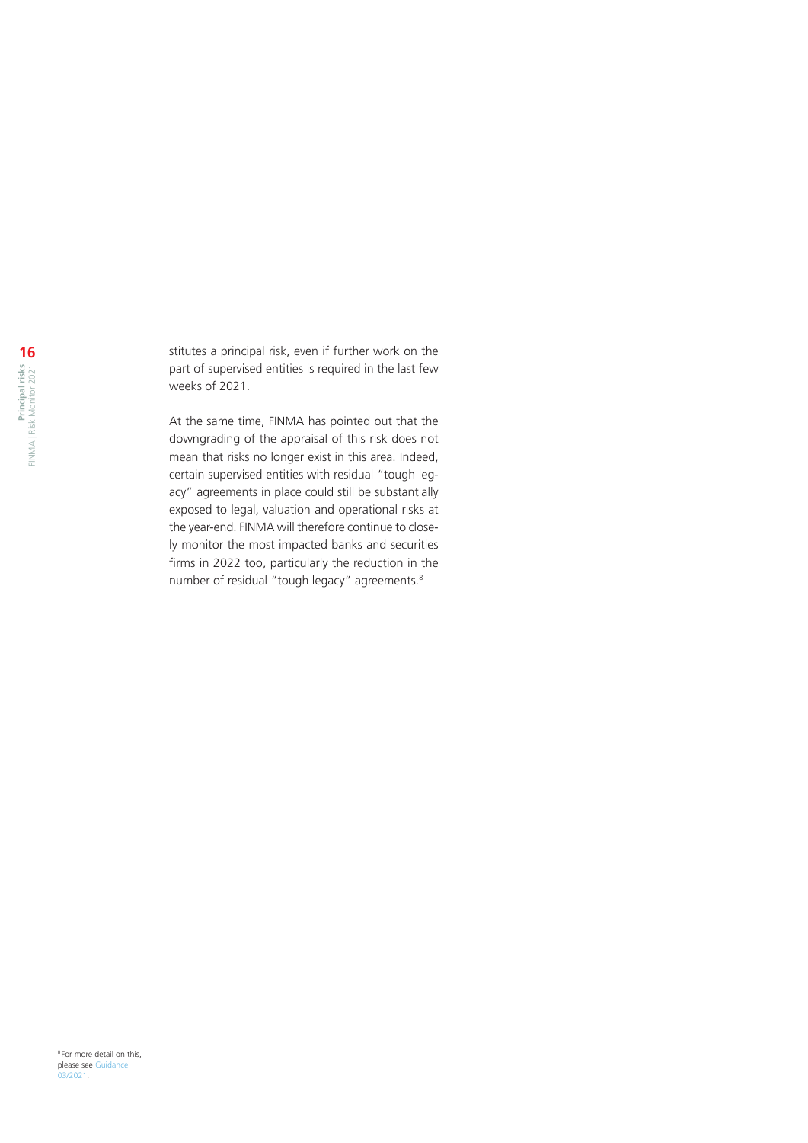stitutes a principal risk, even if further work on the part of supervised entities is required in the last few weeks of 2021.

At the same time, FINMA has pointed out that the downgrading of the appraisal of this risk does not mean that risks no longer exist in this area. Indeed, certain supervised entities with residual "tough legacy" agreements in place could still be substantially exposed to legal, valuation and operational risks at the year-end. FINMA will therefore continue to closely monitor the most impacted banks and securities firms in 2022 too, particularly the reduction in the number of residual "tough legacy" agreements.<sup>8</sup>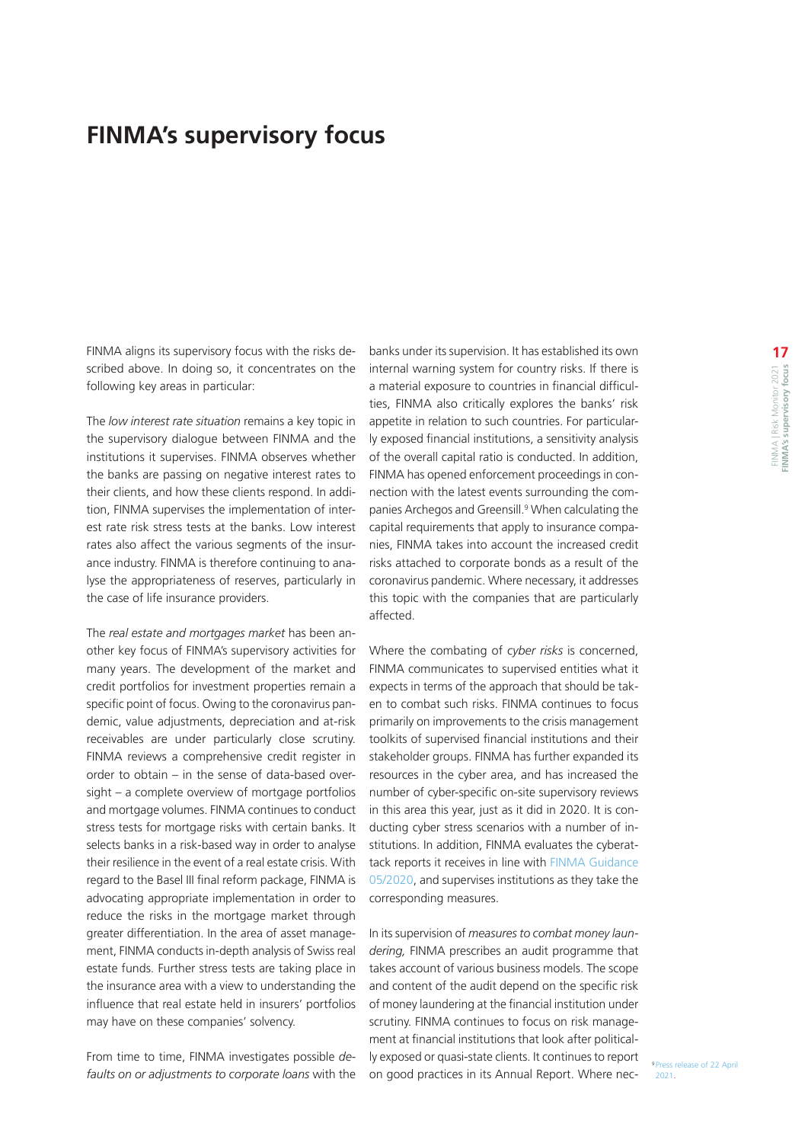# <span id="page-16-0"></span>**FINMA's supervisory focus**

FINMA aligns its supervisory focus with the risks described above. In doing so, it concentrates on the following key areas in particular:

The *low interest rate situation* remains a key topic in the supervisory dialogue between FINMA and the institutions it supervises. FINMA observes whether the banks are passing on negative interest rates to their clients, and how these clients respond. In addition, FINMA supervises the implementation of interest rate risk stress tests at the banks. Low interest rates also affect the various segments of the insurance industry. FINMA is therefore continuing to analyse the appropriateness of reserves, particularly in the case of life insurance providers.

The *real estate and mortgages market* has been another key focus of FINMA's supervisory activities for many years. The development of the market and credit portfolios for investment properties remain a specific point of focus. Owing to the coronavirus pandemic, value adjustments, depreciation and at-risk receivables are under particularly close scrutiny. FINMA reviews a comprehensive credit register in order to obtain – in the sense of data-based oversight – a complete overview of mortgage portfolios and mortgage volumes. FINMA continues to conduct stress tests for mortgage risks with certain banks. It selects banks in a risk-based way in order to analyse their resilience in the event of a real estate crisis. With regard to the Basel III final reform package, FINMA is advocating appropriate implementation in order to reduce the risks in the mortgage market through greater differentiation. In the area of asset management, FINMA conducts in-depth analysis of Swiss real estate funds. Further stress tests are taking place in the insurance area with a view to understanding the influence that real estate held in insurers' portfolios may have on these companies' solvency.

From time to time, FINMA investigates possible *defaults on or adjustments to corporate loans* with the banks under its supervision. It has established its own internal warning system for country risks. If there is a material exposure to countries in financial difficulties, FINMA also critically explores the banks' risk appetite in relation to such countries. For particularly exposed financial institutions, a sensitivity analysis of the overall capital ratio is conducted. In addition, FINMA has opened enforcement proceedings in connection with the latest events surrounding the companies Archegos and Greensill.<sup>9</sup> When calculating the capital requirements that apply to insurance companies, FINMA takes into account the increased credit risks attached to corporate bonds as a result of the coronavirus pandemic. Where necessary, it addresses this topic with the companies that are particularly affected.

Where the combating of *cyber risks* is concerned, FINMA communicates to supervised entities what it expects in terms of the approach that should be taken to combat such risks. FINMA continues to focus primarily on improvements to the crisis management toolkits of supervised financial institutions and their stakeholder groups. FINMA has further expanded its resources in the cyber area, and has increased the number of cyber-specific on-site supervisory reviews in this area this year, just as it did in 2020. It is conducting cyber stress scenarios with a number of institutions. In addition, FINMA evaluates the cyberattack reports it receives in line with [FINMA Guidance](https://www.finma.ch/en/documentation/finma-guidance/)  [05/2020,](https://www.finma.ch/en/documentation/finma-guidance/) and supervises institutions as they take the corresponding measures.

In its supervision of *measures to combat money laundering,* FINMA prescribes an audit programme that takes account of various business models. The scope and content of the audit depend on the specific risk of money laundering at the financial institution under scrutiny. FINMA continues to focus on risk management at financial institutions that look after politically exposed or quasi-state clients. It continues to report on good practices in its Annual Report. Where nec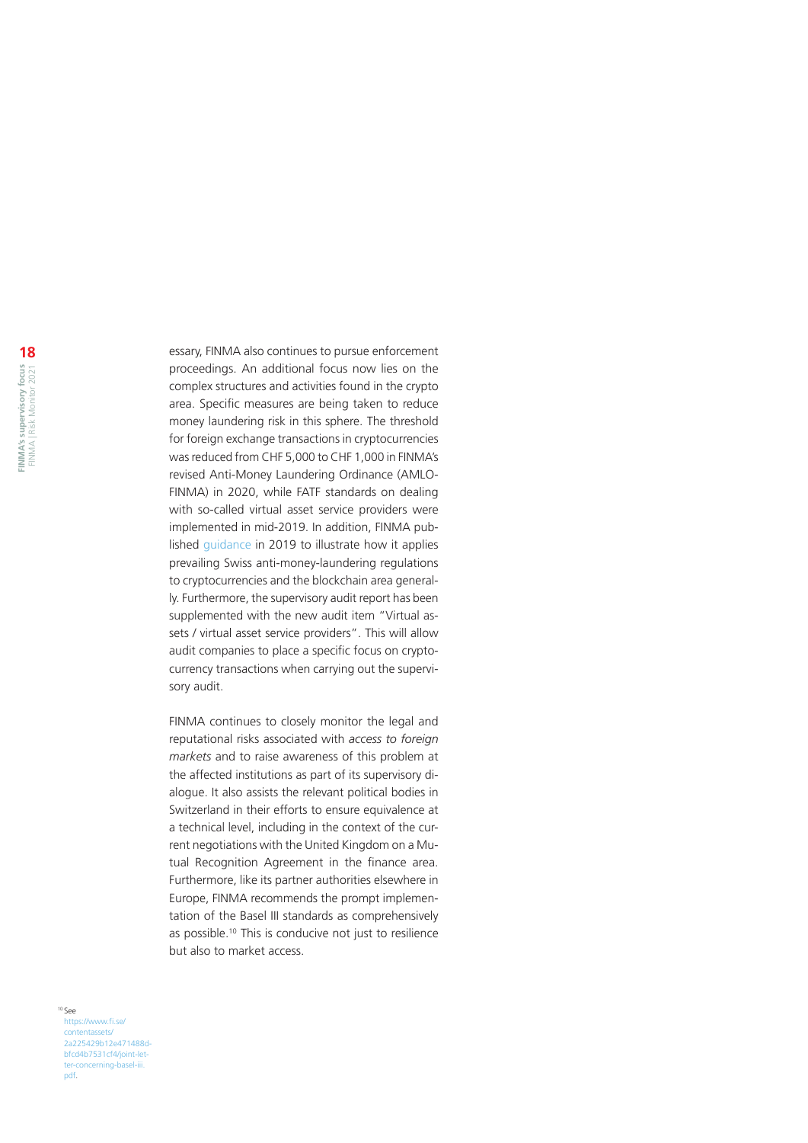essary, FINMA also continues to pursue enforcement proceedings. An additional focus now lies on the complex structures and activities found in the crypto area. Specific measures are being taken to reduce money laundering risk in this sphere. The threshold for foreign exchange transactions in cryptocurrencies was reduced from CHF 5,000 to CHF 1,000 in FINMA's revised Anti-Money Laundering Ordinance (AMLO-FINMA) in 2020, while FATF standards on dealing with so-called virtual asset service providers were implemented in mid-2019. In addition, FINMA published [guidance](https://www.finma.ch/en/news/2019/08/20190826-mm-kryptogwg/) in 2019 to illustrate how it applies prevailing Swiss anti-money-laundering regulations to cryptocurrencies and the blockchain area generally. Furthermore, the supervisory audit report has been supplemented with the new audit item "Virtual assets / virtual asset service providers". This will allow audit companies to place a specific focus on cryptocurrency transactions when carrying out the supervisory audit.

FINMA continues to closely monitor the legal and reputational risks associated with *access to foreign markets* and to raise awareness of this problem at the affected institutions as part of its supervisory dialogue. It also assists the relevant political bodies in Switzerland in their efforts to ensure equivalence at a technical level, including in the context of the current negotiations with the United Kingdom on a Mutual Recognition Agreement in the finance area. Furthermore, like its partner authorities elsewhere in Europe, FINMA recommends the prompt implementation of the Basel III standards as comprehensively as possible.<sup>10</sup> This is conducive not just to resilience but also to market access.

#### 10 See [https://www.fi.se/](https://www.fi.se/contentassets/2a225429b12e471488dbfcd4b7531cf4/joint-letter-concerning-basel-iii.pdf) [contentassets/](https://www.fi.se/contentassets/2a225429b12e471488dbfcd4b7531cf4/joint-letter-concerning-basel-iii.pdf) [2a225429b12e471488d](https://www.fi.se/contentassets/2a225429b12e471488dbfcd4b7531cf4/joint-letter-concerning-basel-iii.pdf)[bfcd4b7531cf4/joint-let](https://www.fi.se/contentassets/2a225429b12e471488dbfcd4b7531cf4/joint-letter-concerning-basel-iii.pdf)[ter-concerning-basel-iii.](https://www.fi.se/contentassets/2a225429b12e471488dbfcd4b7531cf4/joint-letter-concerning-basel-iii.pdf) [pdf](https://www.fi.se/contentassets/2a225429b12e471488dbfcd4b7531cf4/joint-letter-concerning-basel-iii.pdf).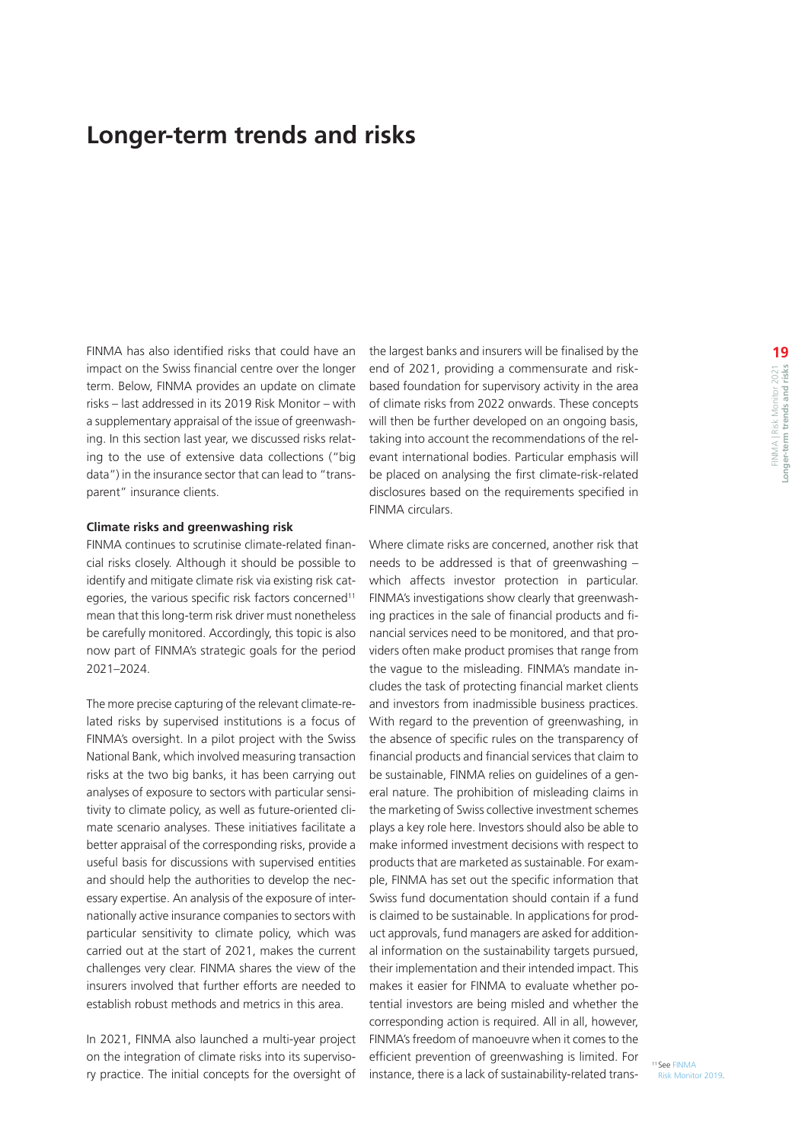# <span id="page-18-0"></span>**Longer-term trends and risks**

FINMA has also identified risks that could have an impact on the Swiss financial centre over the longer term. Below, FINMA provides an update on climate risks – last addressed in its 2019 Risk Monitor – with a supplementary appraisal of the issue of greenwashing. In this section last year, we discussed risks relating to the use of extensive data collections ("big data") in the insurance sector that can lead to "transparent" insurance clients.

#### **Climate risks and greenwashing risk**

FINMA continues to scrutinise climate-related financial risks closely. Although it should be possible to identify and mitigate climate risk via existing risk categories, the various specific risk factors concerned<sup>11</sup> mean that this long-term risk driver must nonetheless be carefully monitored. Accordingly, this topic is also now part of FINMA's strategic goals for the period 2021–2024.

The more precise capturing of the relevant climate-related risks by supervised institutions is a focus of FINMA's oversight. In a pilot project with the Swiss National Bank, which involved measuring transaction risks at the two big banks, it has been carrying out analyses of exposure to sectors with particular sensitivity to climate policy, as well as future-oriented climate scenario analyses. These initiatives facilitate a better appraisal of the corresponding risks, provide a useful basis for discussions with supervised entities and should help the authorities to develop the necessary expertise. An analysis of the exposure of internationally active insurance companies to sectors with particular sensitivity to climate policy, which was carried out at the start of 2021, makes the current challenges very clear. FINMA shares the view of the insurers involved that further efforts are needed to establish robust methods and metrics in this area.

In 2021, FINMA also launched a multi-year project on the integration of climate risks into its supervisory practice. The initial concepts for the oversight of the largest banks and insurers will be finalised by the end of 2021, providing a commensurate and riskbased foundation for supervisory activity in the area of climate risks from 2022 onwards. These concepts will then be further developed on an ongoing basis, taking into account the recommendations of the relevant international bodies. Particular emphasis will be placed on analysing the first climate-risk-related disclosures based on the requirements specified in FINMA circulars.

Where climate risks are concerned, another risk that needs to be addressed is that of greenwashing – which affects investor protection in particular. FINMA's investigations show clearly that greenwashing practices in the sale of financial products and financial services need to be monitored, and that providers often make product promises that range from the vague to the misleading. FINMA's mandate includes the task of protecting financial market clients and investors from inadmissible business practices. With regard to the prevention of greenwashing, in the absence of specific rules on the transparency of financial products and financial services that claim to be sustainable, FINMA relies on guidelines of a general nature. The prohibition of misleading claims in the marketing of Swiss collective investment schemes plays a key role here. Investors should also be able to make informed investment decisions with respect to products that are marketed as sustainable. For example, FINMA has set out the specific information that Swiss fund documentation should contain if a fund is claimed to be sustainable. In applications for product approvals, fund managers are asked for additional information on the sustainability targets pursued, their implementation and their intended impact. This makes it easier for FINMA to evaluate whether potential investors are being misled and whether the corresponding action is required. All in all, however, FINMA's freedom of manoeuvre when it comes to the efficient prevention of greenwashing is limited. For instance, there is a lack of sustainability-related trans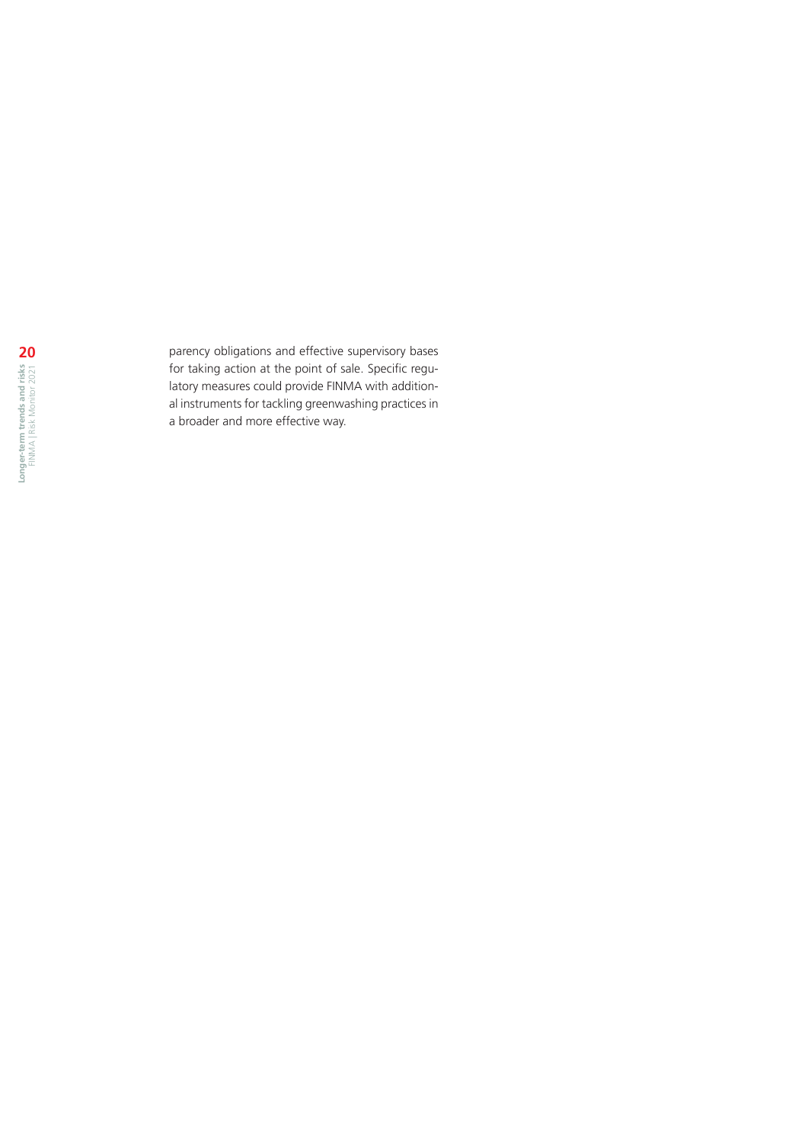parency obligations and effective supervisory bases for taking action at the point of sale. Specific regulatory measures could provide FINMA with addition al instruments for tackling greenwashing practices in a broader and more effective way.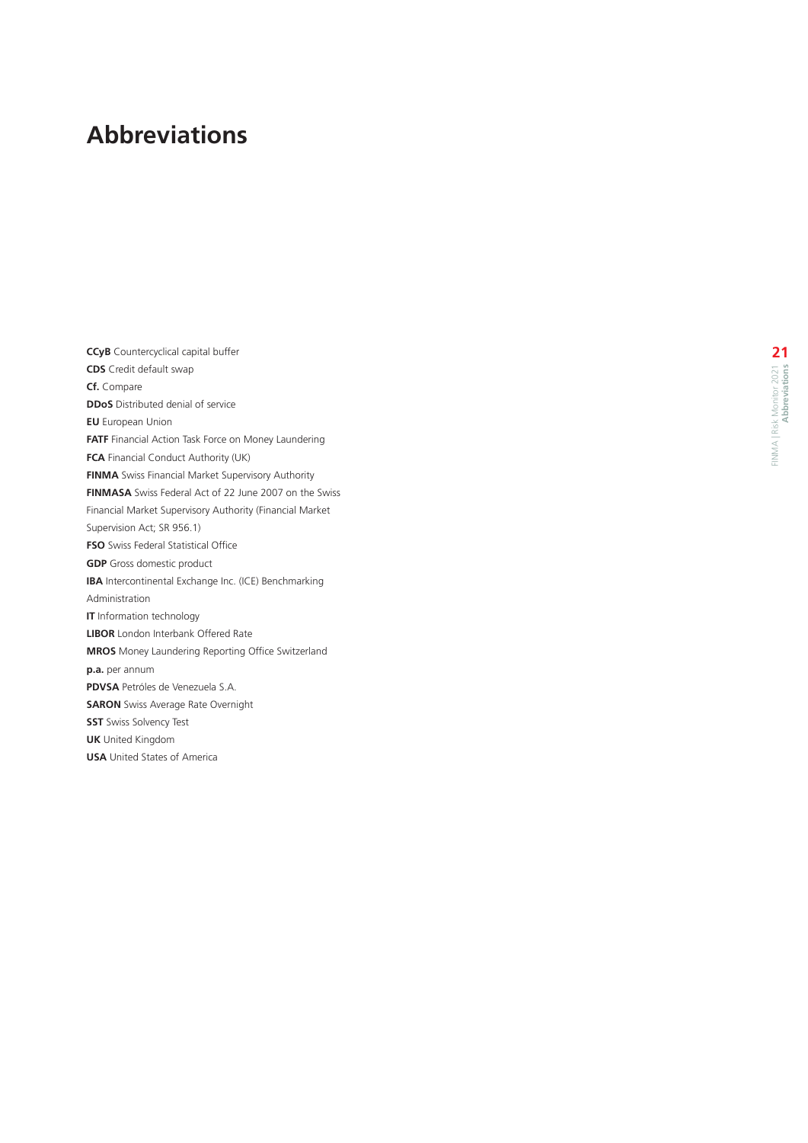# <span id="page-20-0"></span>**Abbreviations**

**CCyB** Countercyclical capital buffer **CDS** Credit default swap **Cf.** Compare **DDoS** Distributed denial of service **EU** European Union **FATF** Financial Action Task Force on Money Laundering **FCA** Financial Conduct Authority (UK) **FINMA** Swiss Financial Market Supervisory Authority **FINMASA** Swiss Federal Act of 22 June 2007 on the Swiss Financial Market Supervisory Authority (Financial Market Supervision Act; SR 956.1) **FSO** Swiss Federal Statistical Office **GDP** Gross domestic product **IBA** Intercontinental Exchange Inc. (ICE) Benchmarking Administration **IT** Information technology **LIBOR** London Interbank Offered Rate **MROS** Money Laundering Reporting Office Switzerland **p.a.** per annum **PDVSA** Petróles de Venezuela S.A. **SARON** Swiss Average Rate Overnight **SST** Swiss Solvency Test **UK** United Kingdom **USA** United States of America